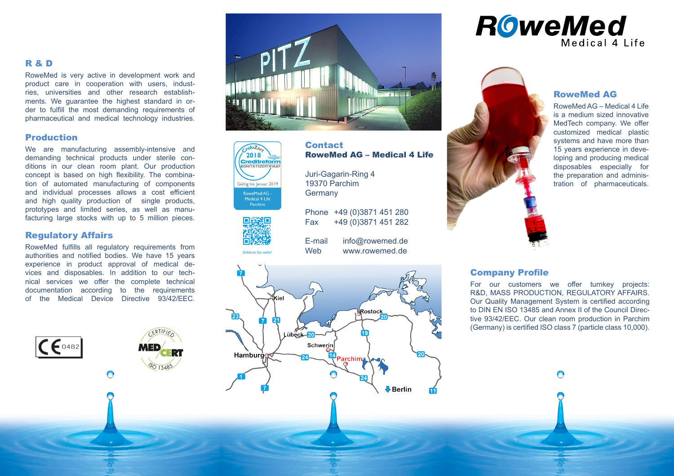#### R & D

RoweMed is very active in development work and product care in cooperation with users, indust ries, universities and other research establish ments. We guarantee the highest standard in or der to fulfill the most demanding requirements of pharmaceutical and medical technology industries.

#### Production

We are manufacturing assembly-intensive and demanding technical products under sterile con ditions in our clean room plant. Our production concept is based on high flexibility. The combina tion of automated manufacturing of components and individual processes allows a cost efficient and high quality production of single products, prototypes and limited series, as well as manu facturing large stocks with up to 5 million pieces.

#### Regulatory Affairs

 $C \epsilon$ <sup>0482</sup>

RoweMed fulfills all regulatory requirements from authorities and notified bodies. We have 15 years experience in product approval of medical de vices and disposables. In addition to our tech nical services we offer the complete technical documentation according to the requirements of the Medical Device Directive 93/42/EEC.

 $\bigcap$ 







**Contact** RoweMed AG – Medical 4 Life Juri-Gagarin-Ring 4

19370 Parchim **Germany** 

Phone +49 (0)3871 451 280 Fax +49 (0)3871 451 282

E-mail info@rowemed.de Web www.rowemed.de







#### RoweMed AG

RoweMed AG – Medical 4 Life is a medium sized innovative MedTech company. We offer customized medical plastic systems and have more than 15 years experience in deve loping and producing medical disposables especially for the preparation and adminis tration of pharmaceuticals.

#### Company Profile

For our customers we offer turnkey projects: R&D, MASS PRODUCTION, REGULATORY AFFAIRS. Our Quality Management System is certified according to DIN EN ISO 13485 and Annex II of the Council Direc tive 93/42/EEC. Our clean room production in Parchim (Germany) is certified ISO class 7 (particle class 10,000).

∩